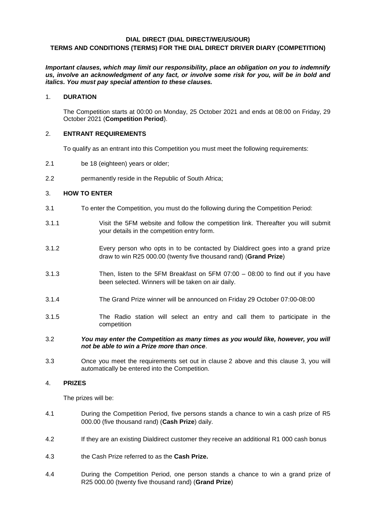# **DIAL DIRECT (DIAL DIRECT/WE/US/OUR) TERMS AND CONDITIONS (TERMS) FOR THE DIAL DIRECT DRIVER DIARY (COMPETITION)**

*Important clauses, which may limit our responsibility, place an obligation on you to indemnify us, involve an acknowledgment of any fact, or involve some risk for you, will be in bold and italics. You must pay special attention to these clauses.*

### 1. **DURATION**

The Competition starts at 00:00 on Monday, 25 October 2021 and ends at 08:00 on Friday, 29 October 2021 (**Competition Period**).

#### <span id="page-0-0"></span>2. **ENTRANT REQUIREMENTS**

To qualify as an entrant into this Competition you must meet the following requirements:

- 2.1 be 18 (eighteen) years or older;
- 2.2 **permanently reside in the Republic of South Africa:**

## <span id="page-0-1"></span>3. **HOW TO ENTER**

- 3.1 To enter the Competition, you must do the following during the Competition Period:
- 3.1.1 Visit the 5FM website and follow the competition link. Thereafter you will submit your details in the competition entry form.
- 3.1.2 Every person who opts in to be contacted by Dialdirect goes into a grand prize draw to win R25 000.00 (twenty five thousand rand) (**Grand Prize**)
- 3.1.3 Then, listen to the 5FM Breakfast on 5FM 07:00 08:00 to find out if you have been selected. Winners will be taken on air daily.
- 3.1.4 The Grand Prize winner will be announced on Friday 29 October 07:00-08:00
- 3.1.5 The Radio station will select an entry and call them to participate in the competition
- 3.2 *You may enter the Competition as many times as you would like, however, you will not be able to win a Prize more than once*.
- 3.3 Once you meet the requirements set out in clause [2](#page-0-0) above and this clause [3,](#page-0-1) you will automatically be entered into the Competition.

## 4. **PRIZES**

The prizes will be:

- 4.1 During the Competition Period, five persons stands a chance to win a cash prize of R5 000.00 (five thousand rand) (**Cash Prize**) daily.
- 4.2 If they are an existing Dialdirect customer they receive an additional R1 000 cash bonus
- 4.3 the Cash Prize referred to as the **Cash Prize.**
- 4.4 During the Competition Period, one person stands a chance to win a grand prize of R25 000.00 (twenty five thousand rand) (**Grand Prize**)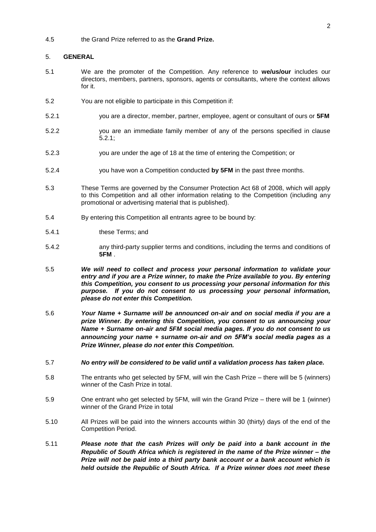#### 4.5 the Grand Prize referred to as the **Grand Prize.**

#### 5. **GENERAL**

- 5.1 We are the promoter of the Competition. Any reference to **we/us/our** includes our directors, members, partners, sponsors, agents or consultants, where the context allows for it.
- 5.2 You are not eligible to participate in this Competition if:
- <span id="page-1-0"></span>5.2.1 you are a director, member, partner, employee, agent or consultant of ours or **5FM**
- 5.2.2 you are an immediate family member of any of the persons specified in clause [5.2.1;](#page-1-0)
- 5.2.3 you are under the age of 18 at the time of entering the Competition; or
- 5.2.4 you have won a Competition conducted **by 5FM** in the past three months.
- 5.3 These Terms are governed by the Consumer Protection Act 68 of 2008, which will apply to this Competition and all other information relating to the Competition (including any promotional or advertising material that is published).
- 5.4 By entering this Competition all entrants agree to be bound by:
- 5.4.1 these Terms; and
- 5.4.2 any third-party supplier terms and conditions, including the terms and conditions of **5FM** .
- 5.5 *We will need to collect and process your personal information to validate your entry and if you are a Prize winner, to make the Prize available to you. By entering this Competition, you consent to us processing your personal information for this purpose. If you do not consent to us processing your personal information, please do not enter this Competition.*
- 5.6 *Your Name + Surname will be announced on-air and on social media if you are a prize Winner. By entering this Competition, you consent to us announcing your Name + Surname on-air and 5FM social media pages. If you do not consent to us announcing your name + surname on-air and on 5FM's social media pages as a Prize Winner, please do not enter this Competition.*
- 5.7 *No entry will be considered to be valid until a validation process has taken place.*
- 5.8 The entrants who get selected by 5FM, will win the Cash Prize there will be 5 (winners) winner of the Cash Prize in total.
- 5.9 One entrant who get selected by 5FM, will win the Grand Prize there will be 1 (winner) winner of the Grand Prize in total
- 5.10 All Prizes will be paid into the winners accounts within 30 (thirty) days of the end of the Competition Period.
- 5.11 *Please note that the cash Prizes will only be paid into a bank account in the Republic of South Africa which is registered in the name of the Prize winner – the Prize will not be paid into a third party bank account or a bank account which is held outside the Republic of South Africa. If a Prize winner does not meet these*